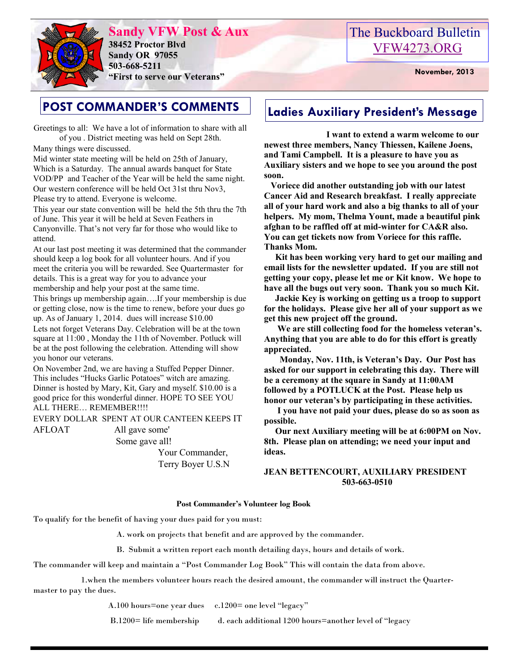

**Sandy VFW Post & Aux 38452 Proctor Blvd Sandy OR 97055 503-668-5211 "First to serve our Veterans" November, 2013** 

# The Buckboard Bulletin [VFW4273.ORG](http://vfw4273.org/)

Greetings to all: We have a lot of information to share with all of you . District meeting was held on Sept 28th.

Many things were discussed.

Mid winter state meeting will be held on 25th of January, Which is a Saturday. The annual awards banquet for State VOD/PP and Teacher of the Year will be held the same night. Our western conference will be held Oct 31st thru Nov3, Please try to attend. Everyone is welcome.

This year our state convention will be held the 5th thru the 7th of June. This year it will be held at Seven Feathers in Canyonville. That's not very far for those who would like to attend.

At our last post meeting it was determined that the commander should keep a log book for all volunteer hours. And if you meet the criteria you will be rewarded. See Quartermaster for details. This is a great way for you to advance your membership and help your post at the same time.

This brings up membership again….If your membership is due or getting close, now is the time to renew, before your dues go up. As of January 1, 2014. dues will increase \$10.00

Lets not forget Veterans Day. Celebration will be at the town square at 11:00 , Monday the 11th of November. Potluck will be at the post following the celebration. Attending will show you honor our veterans.

On November 2nd, we are having a Stuffed Pepper Dinner. This includes "Hucks Garlic Potatoes" witch are amazing. Dinner is hosted by Mary, Kit, Gary and myself. \$10.00 is a good price for this wonderful dinner. HOPE TO SEE YOU ALL THERE… REMEMBER!!!!

EVERY DOLLAR SPENT AT OUR CANTEEN KEEPS IT AFLOAT All gave some'

Some gave all!

 Your Commander, Terry Boyer U.S.N

# **POST COMMANDER'S COMMENTS** | Ladies Auxiliary President's Message

 **I want to extend a warm welcome to our newest three members, Nancy Thiessen, Kailene Joens, and Tami Campbell. It is a pleasure to have you as Auxiliary sisters and we hope to see you around the post soon.** 

 **Voriece did another outstanding job with our latest Cancer Aid and Research breakfast. I really appreciate all of your hard work and also a big thanks to all of your helpers. My mom, Thelma Yount, made a beautiful pink afghan to be raffled off at mid-winter for CA&R also. You can get tickets now from Voriece for this raffle. Thanks Mom.** 

 **Kit has been working very hard to get our mailing and email lists for the newsletter updated. If you are still not getting your copy, please let me or Kit know. We hope to have all the bugs out very soon. Thank you so much Kit.** 

 **Jackie Key is working on getting us a troop to support for the holidays. Please give her all of your support as we get this new project off the ground.** 

 **We are still collecting food for the homeless veteran's. Anything that you are able to do for this effort is greatly appreciated.** 

 **Monday, Nov. 11th, is Veteran's Day. Our Post has asked for our support in celebrating this day. There will be a ceremony at the square in Sandy at 11:00AM followed by a POTLUCK at the Post. Please help us honor our veteran's by participating in these activities.**

 **I you have not paid your dues, please do so as soon as possible.** 

 **Our next Auxiliary meeting will be at 6:00PM on Nov. 8th. Please plan on attending; we need your input and ideas.** 

#### **JEAN BETTENCOURT, AUXILIARY PRESIDENT 503-663-0510**

#### **Post Commander's Volunteer log Book**

To qualify for the benefit of having your dues paid for you must:

A. work on projects that benefit and are approved by the commander.

B. Submit a written report each month detailing days, hours and details of work.

The commander will keep and maintain a "Post Commander Log Book" This will contain the data from above.

 1.when the members volunteer hours reach the desired amount, the commander will instruct the Quartermaster to pay the dues.

A.100 hours=one year dues c.1200= one level "legacy"

B.1200= life membership d. each additional 1200 hours=another level of "legacy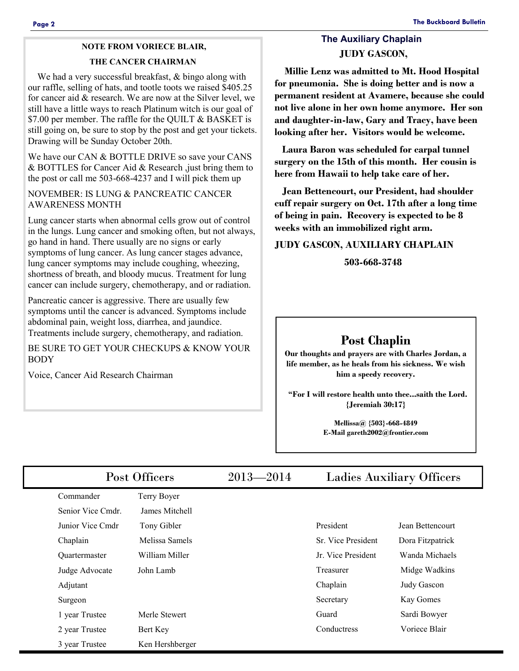## **NOTE FROM VORIECE BLAIR,**

#### **THE CANCER CHAIRMAN**

We had a very successful breakfast,  $&$  bingo along with our raffle, selling of hats, and tootle toots we raised \$405.25 for cancer aid & research. We are now at the Silver level, we still have a little ways to reach Platinum witch is our goal of \$7.00 per member. The raffle for the QUILT & BASKET is still going on, be sure to stop by the post and get your tickets. Drawing will be Sunday October 20th.

We have our CAN & BOTTLE DRIVE so save your CANS & BOTTLES for Cancer Aid & Research ,just bring them to the post or call me 503-668-4237 and I will pick them up

#### NOVEMBER: IS LUNG & PANCREATIC CANCER AWARENESS MONTH

Lung cancer starts when abnormal cells grow out of control in the lungs. Lung cancer and smoking often, but not always, go hand in hand. There usually are no signs or early symptoms of lung cancer. As lung cancer stages advance, lung cancer symptoms may include coughing, wheezing, shortness of breath, and bloody mucus. Treatment for lung cancer can include surgery, chemotherapy, and or radiation.

Pancreatic cancer is aggressive. There are usually few symptoms until the cancer is advanced. Symptoms include abdominal pain, weight loss, diarrhea, and jaundice. Treatments include surgery, chemotherapy, and radiation.

BE SURE TO GET YOUR CHECKUPS & KNOW YOUR BODY

Voice, Cancer Aid Research Chairman

### **The Auxiliary Chaplain JUDY GASCON,**

 **Millie Lenz was admitted to Mt. Hood Hospital for pneumonia. She is doing better and is now a permanent resident at Avamere, because she could not live alone in her own home anymore. Her son and daughter-in-law, Gary and Tracy, have been looking after her. Visitors would be welcome.** 

 **Laura Baron was scheduled for carpal tunnel surgery on the 15th of this month. Her cousin is here from Hawaii to help take care of her.** 

 **Jean Bettencourt, our President, had shoulder cuff repair surgery on Oct. 17th after a long time of being in pain. Recovery is expected to be 8 weeks with an immobilized right arm.** 

#### **JUDY GASCON, AUXILIARY CHAPLAIN**

 **503-668-3748**

### **Post Chaplin**

**Our thoughts and prayers are with Charles Jordan, a life member, as he heals from his sickness. We wish him a speedy recovery.** 

 **"For I will restore health unto thee...saith the Lord. {Jeremiah 30:17}** 

> **Mellissa@ {503}-668-4849 E-Mail gareth2002@frontier.com**

| Post Officers        |                 | $2013 - 2014$ | <b>Ladies Auxiliary Officers</b> |                  |
|----------------------|-----------------|---------------|----------------------------------|------------------|
| Commander            | Terry Boyer     |               |                                  |                  |
| Senior Vice Cmdr.    | James Mitchell  |               |                                  |                  |
| Junior Vice Cmdr     | Tony Gibler     |               | President                        | Jean Bettencourt |
| Chaplain             | Melissa Samels  |               | Sr. Vice President               | Dora Fitzpatrick |
| <b>Ouartermaster</b> | William Miller  |               | Jr. Vice President               | Wanda Michaels   |
| Judge Advocate       | John Lamb       |               | Treasurer                        | Midge Wadkins    |
| Adjutant             |                 |               | Chaplain                         | Judy Gascon      |
| Surgeon              |                 |               | Secretary                        | Kay Gomes        |
| 1 year Trustee       | Merle Stewert   |               | Guard                            | Sardi Bowyer     |
| 2 year Trustee       | Bert Key        |               | Conductress                      | Voriece Blair    |
| 3 year Trustee       | Ken Hershberger |               |                                  |                  |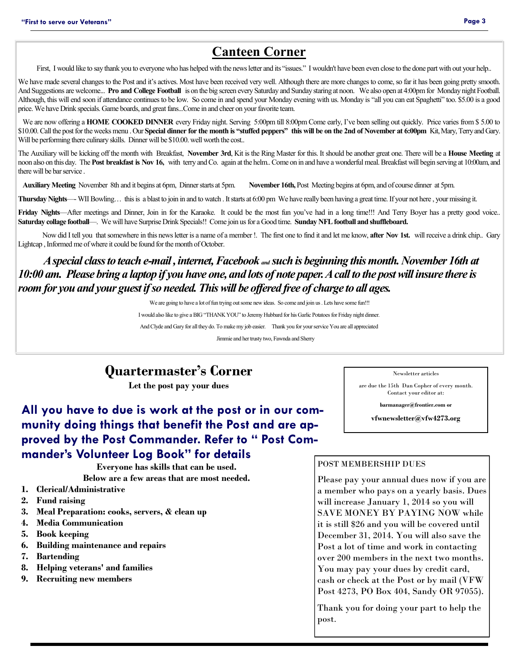### **Canteen Corner**

First, I would like to say thank you to everyone who has helped with the news letter and its "issues." I wouldn't have been even close to the done part with out your help..

We have made several changes to the Post and it's actives. Most have been received very well. Although there are more changes to come, so far it has been going pretty smooth. And Suggestions are welcome... **Pro and College Football** is on the big screen every Saturday and Sunday staring at noon. We also open at 4:00pm for Monday night Football. Although, this will end soon if attendance continues to be low. So come in and spend your Monday evening with us. Monday is "all you can eat Spaghetti" too. \$5.00 is a good price. We have Drink specials. Game boards, and great fans...Come in and cheer on your favorite team.

We are now offering a **HOME COOKED DINNER** every Friday night. Serving 5:00pm till 8:00pm Come early, I've been selling out quickly. Price varies from \$ 5.00 to \$10.00. Call the post for the weeks menu . Our **Special dinner for the month is "stuffed peppers" this will be on the 2nd of November at 6:00pm** Kit, Mary, Terry and Gary. Will be performing there culinary skills. Dinner will be \$10.00. well worth the cost..

The Auxiliary will be kicking off the month with Breakfast, **November 3rd**, Kit is the Ring Master for this. It should be another great one. There will be a **House Meeting** at noon also on this day. The **Post breakfast is Nov 16,** with terry and Co. again at the helm.. Come on in and have a wonderful meal. Breakfast will begin serving at 10:00am, and there will be bar service .

**Auxiliary Meeting** November 8th and it begins at 6pm, Dinner starts at 5pm. **November 16th,** Post Meeting begins at 6pm, and of course dinner at 5pm.

**Thursday Nights**—- WII Bowling… this is a blast to join in and to watch . It starts at 6:00 pm We have really been having a great time. If your not here , your missing it.

Friday Nights—After meetings and Dinner, Join in for the Karaoke. It could be the most fun you've had in a long time!!! And Terry Boyer has a pretty good voice.. **Saturday collage football**—. We will have Surprise Drink Specials!! Come join us for a Good time. **Sunday NFL football and shuffleboard.** 

Now did I tell you that somewhere in this news letter is a name of a member !. The first one to find it and let me know, **after Nov 1st.** will receive a drink chip.. Gary Lightcap , Informed me of where it could be found for the month of October.

### *A special class to teach e-mail , internet, Facebook and such is beginning this month. November 16th at 10:00 am. Please bring a laptop if you have one, and lots of note paper. A call to the post will insure there is room for you and your guest if so needed. This will be offered free of charge to all ages.*

We are going to have a lot of fun trying out some new ideas. So come and join us . Lets have some fun!!!

I would also like to give a BIG "THANK YOU" to Jeremy Hubbard for his Garlic Potatoes for Friday night dinner. And Clyde and Gary for all they do. To make my job easier. Thank you for your service You are all appreciated

Jimmie and her trusty two, Fawnda and Sherry

# **Quartermaster's Corner**

**Let the post pay your dues** 

### **All you have to due is work at the post or in our community doing things that benefit the Post and are approved by the Post Commander. Refer to " Post Commander's Volunteer Log Book" for details**

**Everyone has skills that can be used.** 

**Below are a few areas that are most needed.** 

- **1. Clerical/Administrative**
- **2. Fund raising**
- **3. Meal Preparation: cooks, servers, & clean up**
- **4. Media Communication**
- **5. Book keeping**
- **6. Building maintenance and repairs**
- **7. Bartending**
- **8. Helping veterans' and families**
- **9. Recruiting new members**

Newsletter articles

are due the 15th Dan Copher of every month. Contact your editor at:

**barmanager@frontier.com or** 

**vfwnewsletter@vfw4273.org** 

#### POST MEMBERSHIP DUES

Please pay your annual dues now if you are a member who pays on a yearly basis. Dues will increase January 1, 2014 so you will SAVE MONEY BY PAYING NOW while it is still \$26 and you will be covered until December 31, 2014. You will also save the Post a lot of time and work in contacting over 200 members in the next two months. You may pay your dues by credit card, cash or check at the Post or by mail (VFW Post 4273, PO Box 404, Sandy OR 97055).

Thank you for doing your part to help the post.